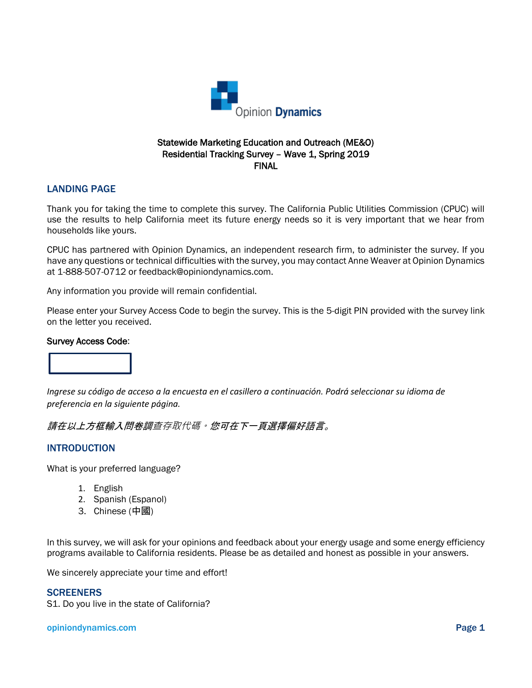

#### Statewide Marketing Education and Outreach (ME&O) Residential Tracking Survey – Wave 1, Spring 2019 FINAL

#### LANDING PAGE

Thank you for taking the time to complete this survey. The California Public Utilities Commission (CPUC) will use the results to help California meet its future energy needs so it is very important that we hear from households like yours.

CPUC has partnered with Opinion Dynamics, an independent research firm, to administer the survey. If you have any questions or technical difficulties with the survey, you may contact Anne Weaver at Opinion Dynamics at 1-888-507-0712 or feedback@opiniondynamics.com.

Any information you provide will remain confidential.

Please enter your Survey Access Code to begin the survey. This is the 5-digit PIN provided with the survey link on the letter you received.

#### Survey Access Code:



*Ingrese su código de acceso a la encuesta en el casillero a continuación. Podrá seleccionar su idioma de preferencia en la siguiente página.*

#### 請在以上方框輸入問卷調查存取代碼。您可在下一頁選擇偏好語言。

#### INTRODUCTION

What is your preferred language?

- 1. English
- 2. Spanish (Espanol)
- 3. Chinese (中國)

In this survey, we will ask for your opinions and feedback about your energy usage and some energy efficiency programs available to California residents. Please be as detailed and honest as possible in your answers.

We sincerely appreciate your time and effort!

#### **SCREENERS**

S1. Do you live in the state of California?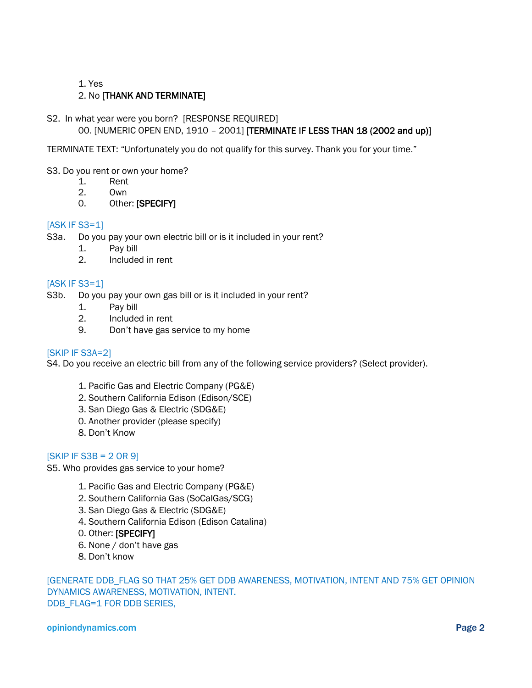1. Yes

#### 2. No [THANK AND TERMINATE]

#### S2. In what year were you born? [RESPONSE REQUIRED]

00. [NUMERIC OPEN END, 1910 – 2001] [TERMINATE IF LESS THAN 18 (2002 and up)]

TERMINATE TEXT: "Unfortunately you do not qualify for this survey. Thank you for your time."

#### S3. Do you rent or own your home?

- 1. Rent<br>2. Own
- 2. Own
- 0. Other: [SPECIFY]

#### [ASK IF S3=1]

- S3a. Do you pay your own electric bill or is it included in your rent?
	- 1. Pay bill
	- 2. Included in rent

#### [ASK IF S3=1]

- S3b. Do you pay your own gas bill or is it included in your rent?
	- 1. Pay bill
	- 2. Included in rent
	- 9. Don't have gas service to my home

#### [SKIP IF S3A=2]

S4. Do you receive an electric bill from any of the following service providers? (Select provider).

- 1. Pacific Gas and Electric Company (PG&E)
- 2. Southern California Edison (Edison/SCE)
- 3. San Diego Gas & Electric (SDG&E)
- 0. Another provider (please specify)
- 8. Don't Know

#### $[SKIP IF S3B = 2 OR 9]$

S5. Who provides gas service to your home?

- 1. Pacific Gas and Electric Company (PG&E)
- 2. Southern California Gas (SoCalGas/SCG)
- 3. San Diego Gas & Electric (SDG&E)
- 4. Southern California Edison (Edison Catalina)
- 0. Other: [SPECIFY]
- 6. None / don't have gas
- 8. Don't know

[GENERATE DDB\_FLAG SO THAT 25% GET DDB AWARENESS, MOTIVATION, INTENT AND 75% GET OPINION DYNAMICS AWARENESS, MOTIVATION, INTENT. DDB\_FLAG=1 FOR DDB SERIES,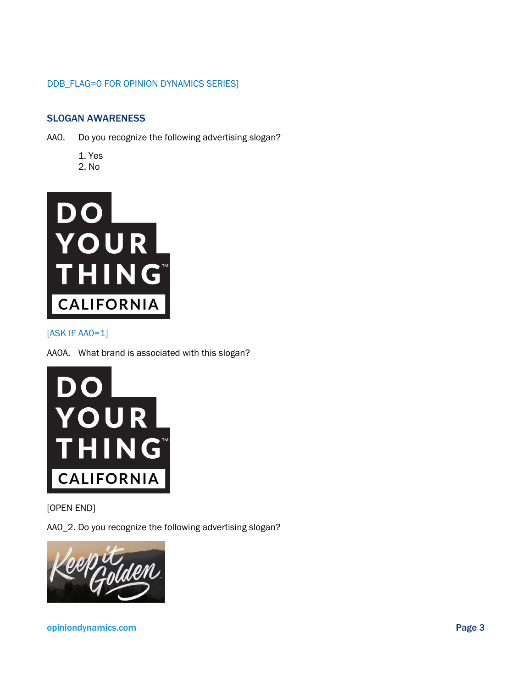#### DDB\_FLAG=0 FOR OPINION DYNAMICS SERIES]

#### SLOGAN AWARENESS

- AA0. Do you recognize the following advertising slogan?
	- 1. Yes
	- 2. No



[ASK IF AA0=1]

AA0A. What brand is associated with this slogan?



[OPEN END]

AA0\_2. Do you recognize the following advertising slogan?

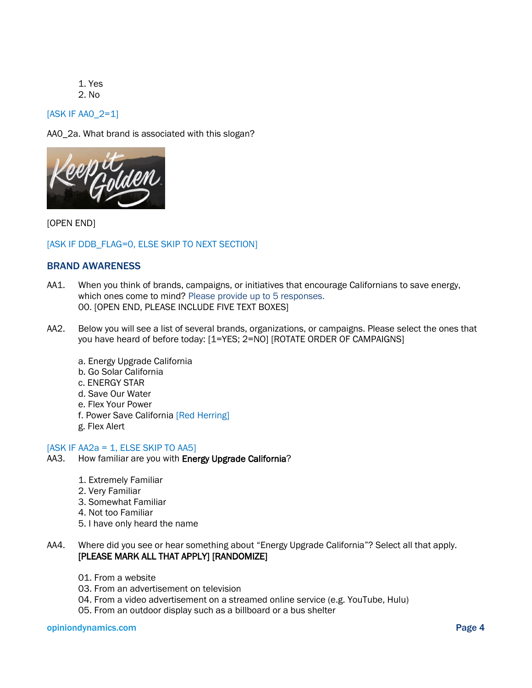1. Yes 2. No

[ASK IF AA0\_2=1]

AA0\_2a. What brand is associated with this slogan?



[OPEN END]

[ASK IF DDB\_FLAG=0, ELSE SKIP TO NEXT SECTION]

#### BRAND AWARENESS

- AA1. When you think of brands, campaigns, or initiatives that encourage Californians to save energy, which ones come to mind? Please provide up to 5 responses. 00. [OPEN END, PLEASE INCLUDE FIVE TEXT BOXES]
- AA2. Below you will see a list of several brands, organizations, or campaigns. Please select the ones that you have heard of before today: [1=YES; 2=NO] [ROTATE ORDER OF CAMPAIGNS]
	- a. Energy Upgrade California
	- b. Go Solar California
	- c. ENERGY STAR
	- d. Save Our Water
	- e. Flex Your Power
	- f. Power Save California [Red Herring]
	- g. Flex Alert

#### $[ASK IF AA2a = 1, ELSE SKIP TO AA5]$

- AA3. How familiar are you with Energy Upgrade California?
	- 1. Extremely Familiar
	- 2. Very Familiar
	- 3. Somewhat Familiar
	- 4. Not too Familiar
	- 5. I have only heard the name
- AA4. Where did you see or hear something about "Energy Upgrade California"? Select all that apply. [PLEASE MARK ALL THAT APPLY] [RANDOMIZE]
	- 01. From a website
	- 03. From an advertisement on television
	- 04. From a video advertisement on a streamed online service (e.g. YouTube, Hulu)
	- 05. From an outdoor display such as a billboard or a bus shelter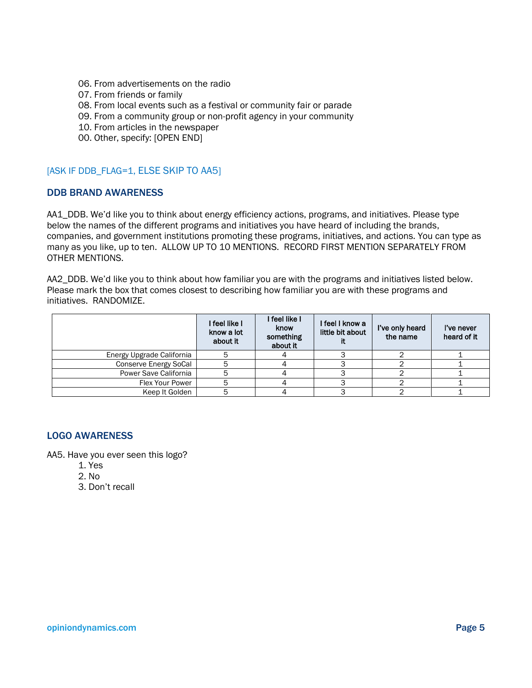- 06. From advertisements on the radio
- 07. From friends or family
- 08. From local events such as a festival or community fair or parade
- 09. From a community group or non-profit agency in your community
- 10. From articles in the newspaper
- 00. Other, specify: [OPEN END]

#### [ASK IF DDB\_FLAG=1, ELSE SKIP TO AA5]

#### DDB BRAND AWARENESS

AA1\_DDB. We'd like you to think about energy efficiency actions, programs, and initiatives. Please type below the names of the different programs and initiatives you have heard of including the brands, companies, and government institutions promoting these programs, initiatives, and actions. You can type as many as you like, up to ten. ALLOW UP TO 10 MENTIONS. RECORD FIRST MENTION SEPARATELY FROM OTHER MENTIONS.

AA2\_DDB. We'd like you to think about how familiar you are with the programs and initiatives listed below. Please mark the box that comes closest to describing how familiar you are with these programs and initiatives. RANDOMIZE.

|                           | I feel like I<br>know a lot<br>about it | I feel like I<br>know<br>something<br>about it | I feel I know a<br>little bit about | I've only heard<br>the name | I've never<br>heard of it |
|---------------------------|-----------------------------------------|------------------------------------------------|-------------------------------------|-----------------------------|---------------------------|
| Energy Upgrade California |                                         |                                                |                                     |                             |                           |
| Conserve Energy SoCal     |                                         |                                                |                                     |                             |                           |
| Power Save California     |                                         |                                                |                                     |                             |                           |
| Flex Your Power           |                                         |                                                |                                     |                             |                           |
| Keep It Golden            |                                         |                                                |                                     |                             |                           |

#### LOGO AWARENESS

AA5. Have you ever seen this logo?

- 1. Yes
- 2. No
- 3. Don't recall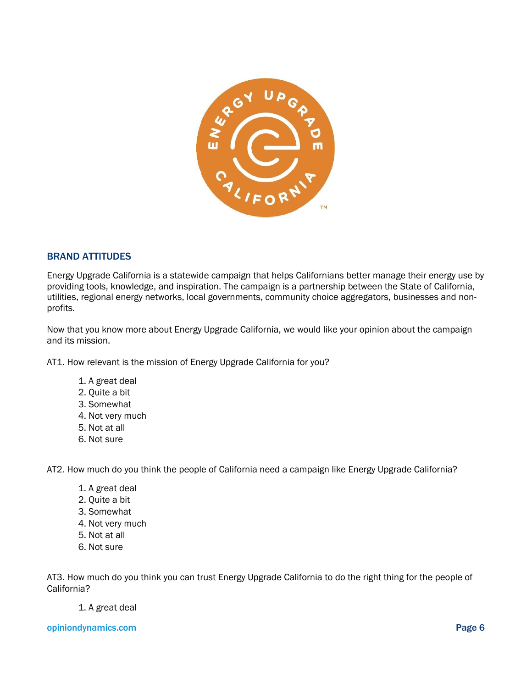

#### BRAND ATTITUDES

Energy Upgrade California is a statewide campaign that helps Californians better manage their energy use by providing tools, knowledge, and inspiration. The campaign is a partnership between the State of California, utilities, regional energy networks, local governments, community choice aggregators, businesses and nonprofits.

Now that you know more about Energy Upgrade California, we would like your opinion about the campaign and its mission.

AT1. How relevant is the mission of Energy Upgrade California for you?

- 1. A great deal
- 2. Quite a bit
- 3. Somewhat
- 4. Not very much
- 5. Not at all
- 6. Not sure

AT2. How much do you think the people of California need a campaign like Energy Upgrade California?

- 1. A great deal
- 2. Quite a bit
- 3. Somewhat
- 4. Not very much
- 5. Not at all
- 6. Not sure

AT3. How much do you think you can trust Energy Upgrade California to do the right thing for the people of California?

#### 1. A great deal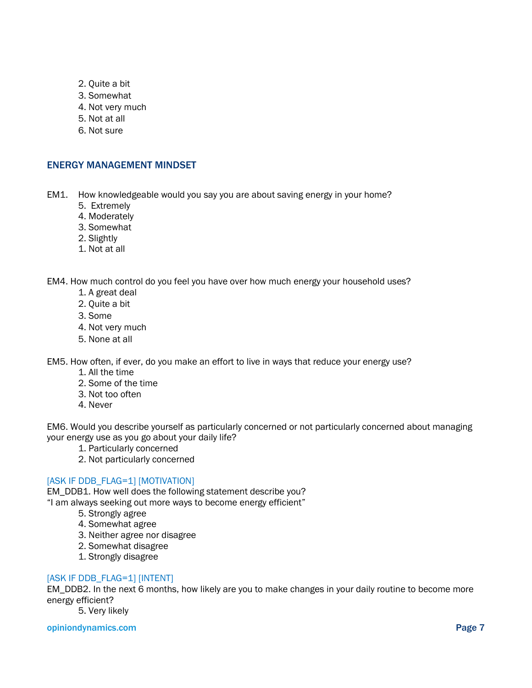- 2. Quite a bit
- 3. Somewhat
- 4. Not very much
- 5. Not at all
- 6. Not sure

#### ENERGY MANAGEMENT MINDSET

EM1. How knowledgeable would you say you are about saving energy in your home?

- 5. Extremely
- 4. Moderately
- 3. Somewhat
- 2. Slightly
- 1. Not at all

EM4. How much control do you feel you have over how much energy your household uses?

- 1. A great deal
- 2. Quite a bit
- 3. Some
- 4. Not very much
- 5. None at all

EM5. How often, if ever, do you make an effort to live in ways that reduce your energy use?

- 1. All the time
- 2. Some of the time
- 3. Not too often
- 4. Never

EM6. Would you describe yourself as particularly concerned or not particularly concerned about managing your energy use as you go about your daily life?

- 1. Particularly concerned
- 2. Not particularly concerned

#### [ASK IF DDB\_FLAG=1] [MOTIVATION]

EM\_DDB1. How well does the following statement describe you? "I am always seeking out more ways to become energy efficient"

- 5. Strongly agree
	- 4. Somewhat agree
	- 3. Neither agree nor disagree
	- 2. Somewhat disagree
	- 1. Strongly disagree

#### [ASK IF DDB\_FLAG=1] [INTENT]

EM\_DDB2. In the next 6 months, how likely are you to make changes in your daily routine to become more energy efficient?

5. Very likely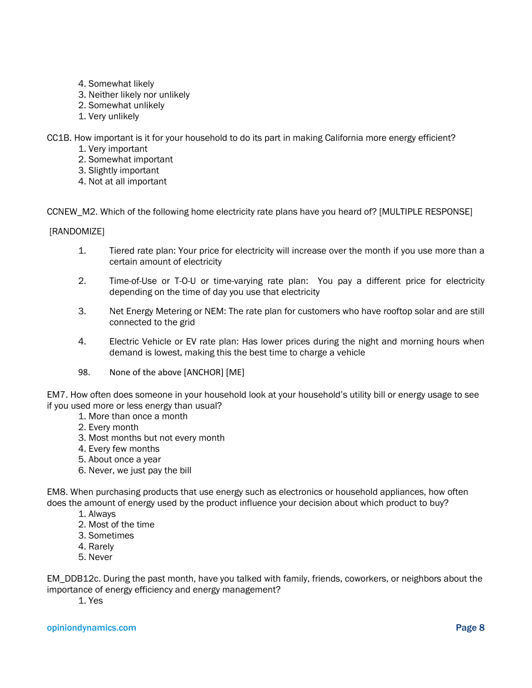- 4. Somewhat likely
- 3. Neither likely nor unlikely
- 2. Somewhat unlikely
- 1. Very unlikely

CC1B. How important is it for your household to do its part in making California more energy efficient?

- 1. Very important
- 2. Somewhat important
- 3. Slightly important
- 4. Not at all important

CCNEW\_M2. Which of the following home electricity rate plans have you heard of? [MULTIPLE RESPONSE]

[RANDOMIZE]

- 1. Tiered rate plan: Your price for electricity will increase over the month if you use more than a certain amount of electricity
- 2. Time-of-Use or T-O-U or time-varying rate plan: You pay a different price for electricity depending on the time of day you use that electricity
- 3. Net Energy Metering or NEM: The rate plan for customers who have rooftop solar and are still connected to the grid
- 4. Electric Vehicle or EV rate plan: Has lower prices during the night and morning hours when demand is lowest, making this the best time to charge a vehicle
- 98. None of the above [ANCHOR] [ME]

EM7. How often does someone in your household look at your household's utility bill or energy usage to see if you used more or less energy than usual?

- 1. More than once a month
- 2. Every month
- 3. Most months but not every month
- 4. Every few months
- 5. About once a year
- 6. Never, we just pay the bill

EM8. When purchasing products that use energy such as electronics or household appliances, how often does the amount of energy used by the product influence your decision about which product to buy?

- 1. Always
- 2. Most of the time
- 3. Sometimes
- 4. Rarely
- 5. Never

EM\_DDB12c. During the past month, have you talked with family, friends, coworkers, or neighbors about the importance of energy efficiency and energy management?

1. Yes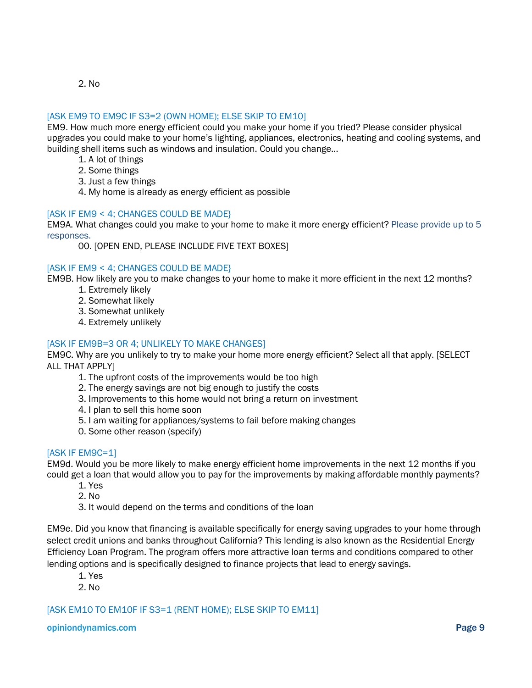2. No

#### [ASK EM9 TO EM9C IF S3=2 (OWN HOME); ELSE SKIP TO EM10]

EM9. How much more energy efficient could you make your home if you tried? Please consider physical upgrades you could make to your home's lighting, appliances, electronics, heating and cooling systems, and building shell items such as windows and insulation. Could you change…

- 1. A lot of things
- 2. Some things
- 3. Just a few things
- 4. My home is already as energy efficient as possible

#### [ASK IF EM9 < 4; CHANGES COULD BE MADE}

EM9A. What changes could you make to your home to make it more energy efficient? Please provide up to 5 responses.

00. [OPEN END, PLEASE INCLUDE FIVE TEXT BOXES]

#### [ASK IF EM9 < 4; CHANGES COULD BE MADE}

EM9B. How likely are you to make changes to your home to make it more efficient in the next 12 months?

- 1. Extremely likely
- 2. Somewhat likely
- 3. Somewhat unlikely
- 4. Extremely unlikely

#### [ASK IF EM9B=3 OR 4; UNLIKELY TO MAKE CHANGES]

EM9C. Why are you unlikely to try to make your home more energy efficient? Select all that apply. [SELECT ALL THAT APPLY]

- 1. The upfront costs of the improvements would be too high
- 2. The energy savings are not big enough to justify the costs
- 3. Improvements to this home would not bring a return on investment
- 4. I plan to sell this home soon
- 5. I am waiting for appliances/systems to fail before making changes
- 0. Some other reason (specify)

#### [ASK IF EM9C=1]

EM9d. Would you be more likely to make energy efficient home improvements in the next 12 months if you could get a loan that would allow you to pay for the improvements by making affordable monthly payments?

- 1. Yes
- 2. No
- 3. It would depend on the terms and conditions of the loan

EM9e. Did you know that financing is available specifically for energy saving upgrades to your home through select credit unions and banks throughout California? This lending is also known as the Residential Energy Efficiency Loan Program. The program offers more attractive loan terms and conditions compared to other lending options and is specifically designed to finance projects that lead to energy savings.

- 1. Yes
- 2. No

#### [ASK EM10 TO EM10F IF S3=1 (RENT HOME); ELSE SKIP TO EM11]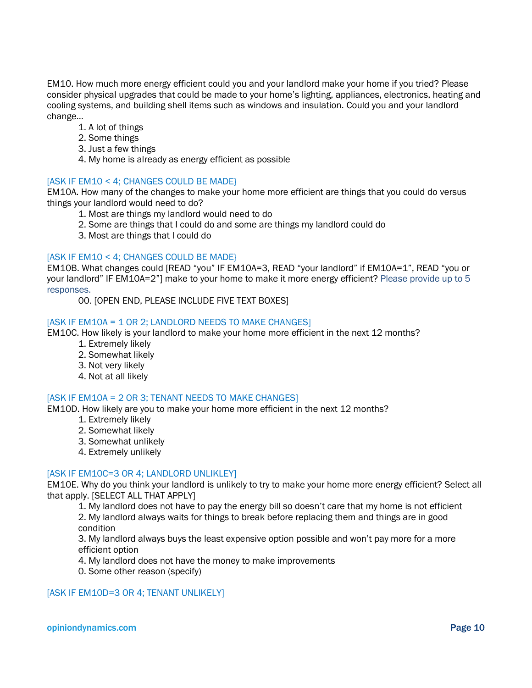EM10. How much more energy efficient could you and your landlord make your home if you tried? Please consider physical upgrades that could be made to your home's lighting, appliances, electronics, heating and cooling systems, and building shell items such as windows and insulation. Could you and your landlord change…

- 1. A lot of things
- 2. Some things
- 3. Just a few things
- 4. My home is already as energy efficient as possible

#### [ASK IF EM10 < 4; CHANGES COULD BE MADE}

EM10A. How many of the changes to make your home more efficient are things that you could do versus things your landlord would need to do?

- 1. Most are things my landlord would need to do
- 2. Some are things that I could do and some are things my landlord could do
- 3. Most are things that I could do

#### [ASK IF EM10 < 4; CHANGES COULD BE MADE]

EM10B. What changes could [READ "you" IF EM10A=3, READ "your landlord" if EM10A=1", READ "you or your landlord" IF EM10A=2"] make to your home to make it more energy efficient? Please provide up to 5 responses.

00. [OPEN END, PLEASE INCLUDE FIVE TEXT BOXES]

#### [ASK IF EM10A = 1 OR 2; LANDLORD NEEDS TO MAKE CHANGES]

EM10C. How likely is your landlord to make your home more efficient in the next 12 months?

- 1. Extremely likely
- 2. Somewhat likely
- 3. Not very likely
- 4. Not at all likely

#### [ASK IF EM10A = 2 OR 3: TENANT NEEDS TO MAKE CHANGES]

EM10D. How likely are you to make your home more efficient in the next 12 months?

- 1. Extremely likely
- 2. Somewhat likely
- 3. Somewhat unlikely
- 4. Extremely unlikely

#### [ASK IF EM10C=3 OR 4; LANDLORD UNLIKLEY]

EM10E. Why do you think your landlord is unlikely to try to make your home more energy efficient? Select all that apply. [SELECT ALL THAT APPLY]

1. My landlord does not have to pay the energy bill so doesn't care that my home is not efficient 2. My landlord always waits for things to break before replacing them and things are in good

condition

3. My landlord always buys the least expensive option possible and won't pay more for a more efficient option

4. My landlord does not have the money to make improvements

0. Some other reason (specify)

#### [ASK IF EM10D=3 OR 4; TENANT UNLIKELY]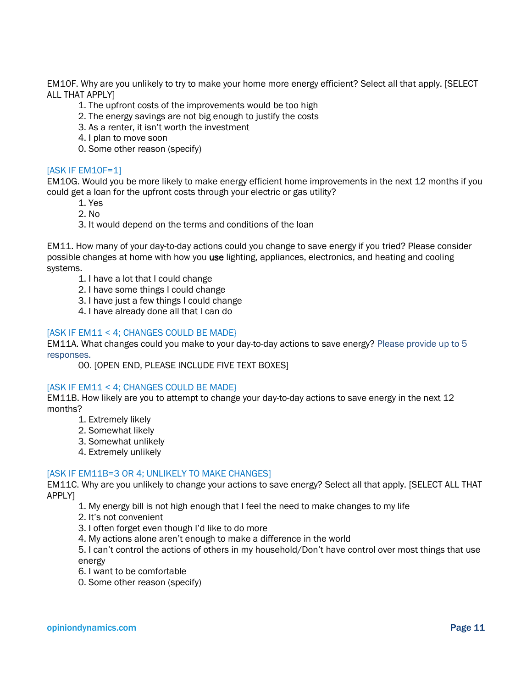EM10F. Why are you unlikely to try to make your home more energy efficient? Select all that apply. [SELECT ALL THAT APPLY]

- 1. The upfront costs of the improvements would be too high
- 2. The energy savings are not big enough to justify the costs
- 3. As a renter, it isn't worth the investment
- 4. I plan to move soon
- 0. Some other reason (specify)

#### [ASK IF EM10F=1]

EM10G. Would you be more likely to make energy efficient home improvements in the next 12 months if you could get a loan for the upfront costs through your electric or gas utility?

- 1. Yes
- 2. No
- 3. It would depend on the terms and conditions of the loan

EM11. How many of your day-to-day actions could you change to save energy if you tried? Please consider possible changes at home with how you use lighting, appliances, electronics, and heating and cooling systems.

- 1. I have a lot that I could change
- 2. I have some things I could change
- 3. I have just a few things I could change
- 4. I have already done all that I can do

#### [ASK IF EM11 < 4; CHANGES COULD BE MADE]

EM11A. What changes could you make to your day-to-day actions to save energy? Please provide up to 5 responses.

00. [OPEN END, PLEASE INCLUDE FIVE TEXT BOXES]

#### [ASK IF EM11 < 4; CHANGES COULD BE MADE}

EM11B. How likely are you to attempt to change your day-to-day actions to save energy in the next 12 months?

- 1. Extremely likely
- 2. Somewhat likely
- 3. Somewhat unlikely
- 4. Extremely unlikely

#### [ASK IF EM11B=3 OR 4; UNLIKELY TO MAKE CHANGES]

EM11C. Why are you unlikely to change your actions to save energy? Select all that apply. [SELECT ALL THAT APPLY]

1. My energy bill is not high enough that I feel the need to make changes to my life

- 2. It's not convenient
- 3. I often forget even though I'd like to do more
- 4. My actions alone aren't enough to make a difference in the world

5. I can't control the actions of others in my household/Don't have control over most things that use energy

- 6. I want to be comfortable
- 0. Some other reason (specify)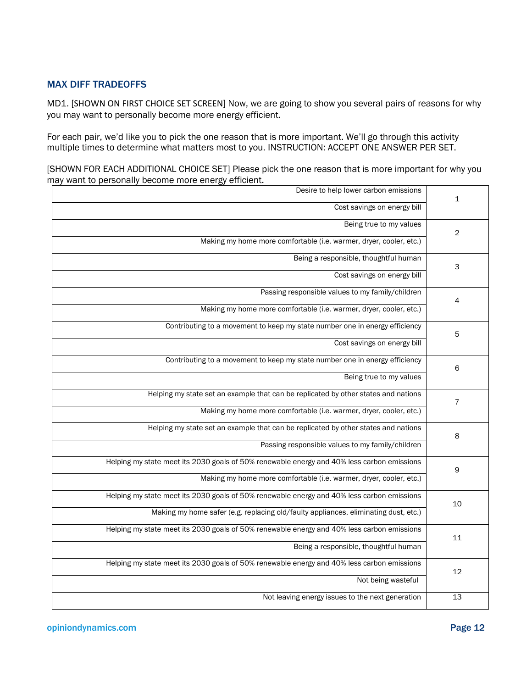#### MAX DIFF TRADEOFFS

MD1. [SHOWN ON FIRST CHOICE SET SCREEN] Now, we are going to show you several pairs of reasons for why you may want to personally become more energy efficient.

For each pair, we'd like you to pick the one reason that is more important. We'll go through this activity multiple times to determine what matters most to you. INSTRUCTION: ACCEPT ONE ANSWER PER SET.

[SHOWN FOR EACH ADDITIONAL CHOICE SET] Please pick the one reason that is more important for why you may want to personally become more energy efficient.

| 1               | Desire to help lower carbon emissions                                                      |
|-----------------|--------------------------------------------------------------------------------------------|
|                 | Cost savings on energy bill                                                                |
| $\overline{2}$  | Being true to my values                                                                    |
|                 | Making my home more comfortable (i.e. warmer, dryer, cooler, etc.)                         |
| 3               | Being a responsible, thoughtful human                                                      |
|                 | Cost savings on energy bill                                                                |
| 4               | Passing responsible values to my family/children                                           |
|                 | Making my home more comfortable (i.e. warmer, dryer, cooler, etc.)                         |
| 5               | Contributing to a movement to keep my state number one in energy efficiency                |
|                 | Cost savings on energy bill                                                                |
| 6               | Contributing to a movement to keep my state number one in energy efficiency                |
|                 | Being true to my values                                                                    |
| $\overline{7}$  | Helping my state set an example that can be replicated by other states and nations         |
|                 | Making my home more comfortable (i.e. warmer, dryer, cooler, etc.)                         |
| 8               | Helping my state set an example that can be replicated by other states and nations         |
|                 | Passing responsible values to my family/children                                           |
| 9               | Helping my state meet its 2030 goals of 50% renewable energy and 40% less carbon emissions |
|                 | Making my home more comfortable (i.e. warmer, dryer, cooler, etc.)                         |
| 10              | Helping my state meet its 2030 goals of 50% renewable energy and 40% less carbon emissions |
|                 | Making my home safer (e.g. replacing old/faulty appliances, eliminating dust, etc.)        |
| 11              | Helping my state meet its 2030 goals of 50% renewable energy and 40% less carbon emissions |
|                 | Being a responsible, thoughtful human                                                      |
| 12              | Helping my state meet its 2030 goals of 50% renewable energy and 40% less carbon emissions |
|                 | Not being wasteful                                                                         |
| $\overline{13}$ | Not leaving energy issues to the next generation                                           |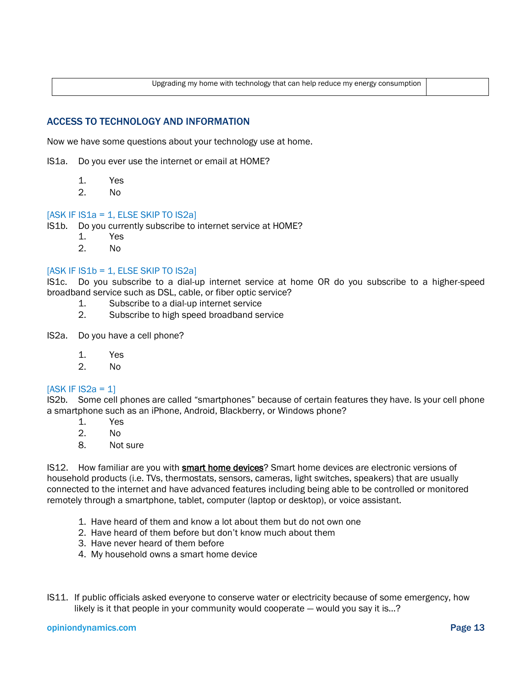Upgrading my home with technology that can help reduce my energy consumption

#### ACCESS TO TECHNOLOGY AND INFORMATION

Now we have some questions about your technology use at home.

IS1a. Do you ever use the internet or email at HOME?

- 1. Yes
- 2. No

#### $[ASK IF IS1a = 1, ELSE SKIP TO IS2a]$

IS1b. Do you currently subscribe to internet service at HOME?

- 1. Yes
- 2. No

#### $[ASK IF IS1b = 1, ELSE SKIP TO IS2a]$

IS1c. Do you subscribe to a dial-up internet service at home OR do you subscribe to a higher-speed broadband service such as DSL, cable, or fiber optic service?

- 1. Subscribe to a dial-up internet service
- 2. Subscribe to high speed broadband service
- IS2a. Do you have a cell phone?
	- 1. Yes
	- 2. No

#### $[ASK IF IS2a = 1]$

IS2b. Some cell phones are called "smartphones" because of certain features they have. Is your cell phone a smartphone such as an iPhone, Android, Blackberry, or Windows phone?

- 1. Yes
- 2. No
- 8. Not sure

IS12. How familiar are you with **smart home devices**? Smart home devices are electronic versions of household products (i.e. TVs, thermostats, sensors, cameras, light switches, speakers) that are usually connected to the internet and have advanced features including being able to be controlled or monitored remotely through a smartphone, tablet, computer (laptop or desktop), or voice assistant.

- 1. Have heard of them and know a lot about them but do not own one
- 2. Have heard of them before but don't know much about them
- 3. Have never heard of them before
- 4. My household owns a smart home device
- IS11. If public officials asked everyone to conserve water or electricity because of some emergency, how likely is it that people in your community would cooperate — would you say it is…?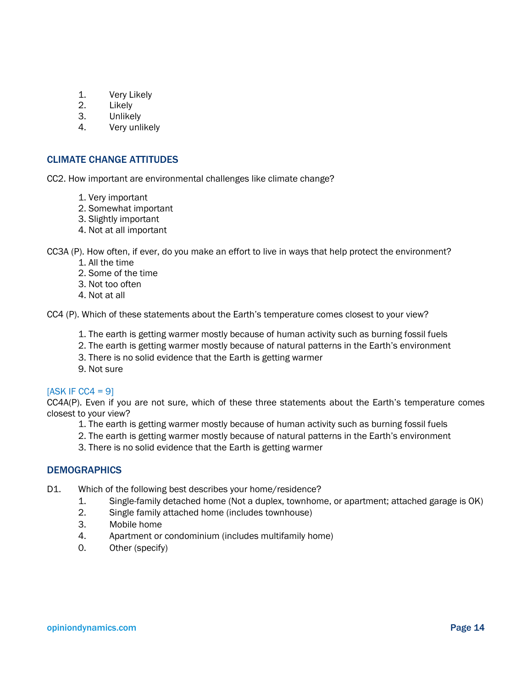- 1. Very Likely
- 2. Likely
- 3. Unlikely
- 4. Very unlikely

#### CLIMATE CHANGE ATTITUDES

CC2. How important are environmental challenges like climate change?

- 1. Very important
- 2. Somewhat important
- 3. Slightly important
- 4. Not at all important

CC3A (P). How often, if ever, do you make an effort to live in ways that help protect the environment?

- 1. All the time
- 2. Some of the time
- 3. Not too often
- 4. Not at all

CC4 (P). Which of these statements about the Earth's temperature comes closest to your view?

- 1. The earth is getting warmer mostly because of human activity such as burning fossil fuels
- 2. The earth is getting warmer mostly because of natural patterns in the Earth's environment
- 3. There is no solid evidence that the Earth is getting warmer
- 9. Not sure

#### $[ASK IF CC4 = 9]$

CC4A(P). Even if you are not sure, which of these three statements about the Earth's temperature comes closest to your view?

- 1. The earth is getting warmer mostly because of human activity such as burning fossil fuels
- 2. The earth is getting warmer mostly because of natural patterns in the Earth's environment
- 3. There is no solid evidence that the Earth is getting warmer

#### **DEMOGRAPHICS**

- D1. Which of the following best describes your home/residence?
	- 1. Single-family detached home (Not a duplex, townhome, or apartment; attached garage is OK)
	- 2. Single family attached home (includes townhouse)
	- 3. Mobile home
	- 4. Apartment or condominium (includes multifamily home)
	- 0. Other (specify)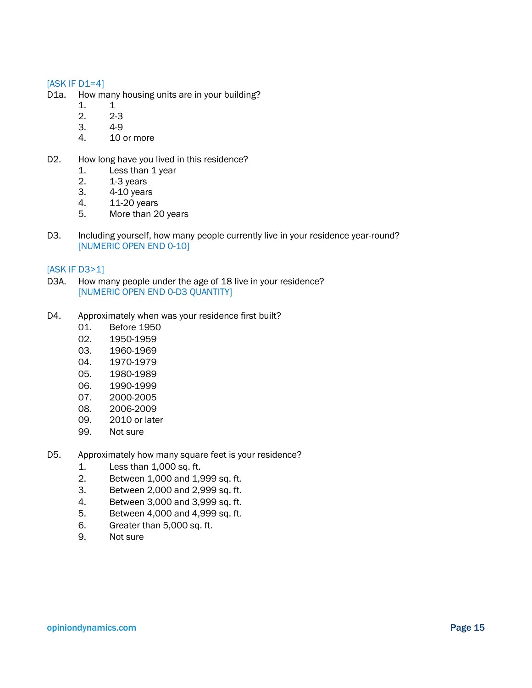#### $[ASK IF D1=4]$

- D1a. How many housing units are in your building?
	- 1. 1
	- 2. 2-3
	- 3. 4-9
	- 4. 10 or more
- D2. How long have you lived in this residence?
	- 1. Less than 1 year
	- 2. 1-3 years
	- 3. 4-10 years
	- 4. 11-20 years
	- 5. More than 20 years
- D3. Including yourself, how many people currently live in your residence year-round? [NUMERIC OPEN END 0-10]

#### [ASK IF D3>1]

- D3A. How many people under the age of 18 live in your residence? [NUMERIC OPEN END 0-D3 QUANTITY]
- D4. Approximately when was your residence first built?
	- 01. Before 1950
	- 02. 1950-1959
	- 03. 1960-1969
	- 04. 1970-1979
	- 05. 1980-1989
	- 06. 1990-1999
	- 07. 2000-2005
	- 08. 2006-2009
	- 09. 2010 or later
	- 99. Not sure
- D5. Approximately how many square feet is your residence?
	- 1. Less than 1,000 sq. ft.
	- 2. Between 1,000 and 1,999 sq. ft.
	- 3. Between 2,000 and 2,999 sq. ft.
	- 4. Between 3,000 and 3,999 sq. ft.
	- 5. Between 4,000 and 4,999 sq. ft.
	- 6. Greater than 5,000 sq. ft.
	- 9. Not sure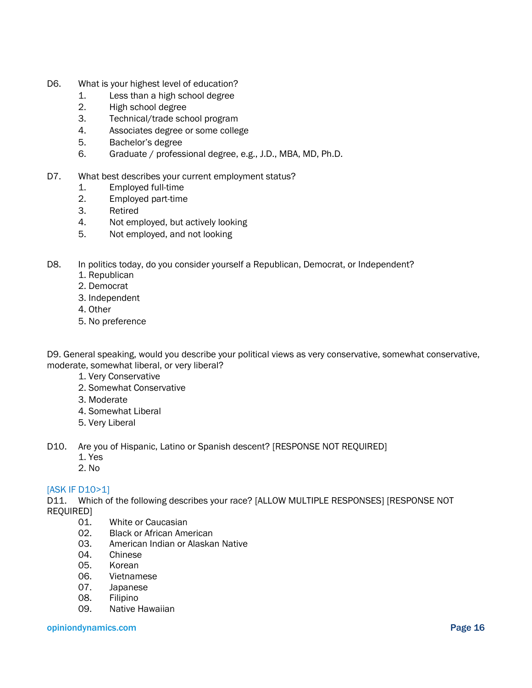- D6. What is your highest level of education?
	- 1. Less than a high school degree
	- 2. High school degree
	- 3. Technical/trade school program
	- 4. Associates degree or some college
	- 5. Bachelor's degree
	- 6. Graduate / professional degree, e.g., J.D., MBA, MD, Ph.D.
- D7. What best describes your current employment status?
	- 1. Employed full-time
	- 2. Employed part-time
	- 3. Retired
	- 4. Not employed, but actively looking
	- 5. Not employed, and not looking
- D8. In politics today, do you consider yourself a Republican, Democrat, or Independent?
	- 1. Republican
	- 2. Democrat
	- 3. Independent
	- 4. Other
	- 5. No preference

D9. General speaking, would you describe your political views as very conservative, somewhat conservative, moderate, somewhat liberal, or very liberal?

- 1. Very Conservative
- 2. Somewhat Conservative
- 3. Moderate
- 4. Somewhat Liberal
- 5. Very Liberal

D10. Are you of Hispanic, Latino or Spanish descent? [RESPONSE NOT REQUIRED]

- 1. Yes
- 2. No

#### [ASK IF D10>1]

D11. Which of the following describes your race? [ALLOW MULTIPLE RESPONSES] [RESPONSE NOT REQUIRED]

- 01. White or Caucasian
- 02. Black or African American
- 03. American Indian or Alaskan Native
- 04. Chinese
- 05. Korean
- 06. Vietnamese
- 07. Japanese
- 08. Filipino
- 09. Native Hawaiian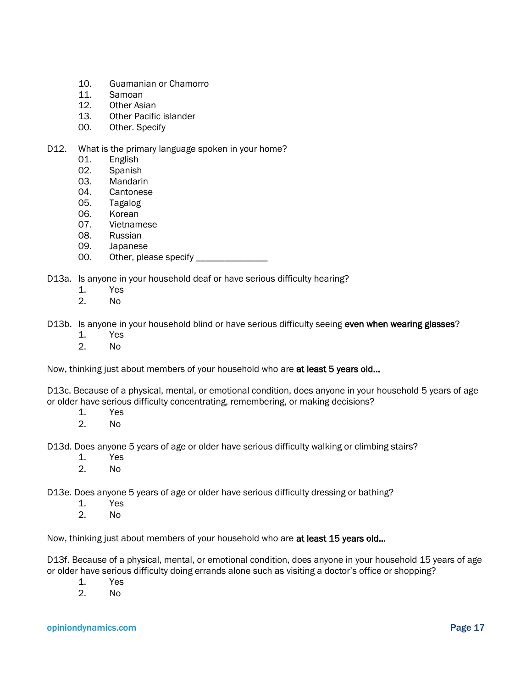- 10. Guamanian or Chamorro
- 11. Samoan
- 12. Other Asian
- 13. Other Pacific islander
- 00. Other. Specify

#### D12. What is the primary language spoken in your home?

- 01. English
- 02. Spanish
- 03. Mandarin
- 04. Cantonese
- 05. Tagalog
- 06. Korean
- 07. Vietnamese
- 08. Russian
- 09. Japanese
- 00. Other, please specify \_\_\_\_\_\_\_\_\_\_\_\_\_\_
- D13a. Is anyone in your household deaf or have serious difficulty hearing?
	- 1. Yes
	- 2. No

D13b. Is anyone in your household blind or have serious difficulty seeing even when wearing glasses?

- 1. Yes
- 2. No

Now, thinking just about members of your household who are at least 5 years old...

D13c. Because of a physical, mental, or emotional condition, does anyone in your household 5 years of age or older have serious difficulty concentrating, remembering, or making decisions?

- 1. Yes
- 2. No

D13d. Does anyone 5 years of age or older have serious difficulty walking or climbing stairs?

- 1. Yes
- 2. No

D13e. Does anyone 5 years of age or older have serious difficulty dressing or bathing?

- 1. Yes
- 2. No

Now, thinking just about members of your household who are at least 15 years old...

D13f. Because of a physical, mental, or emotional condition, does anyone in your household 15 years of age or older have serious difficulty doing errands alone such as visiting a doctor's office or shopping?

- 1. Yes
- 2. No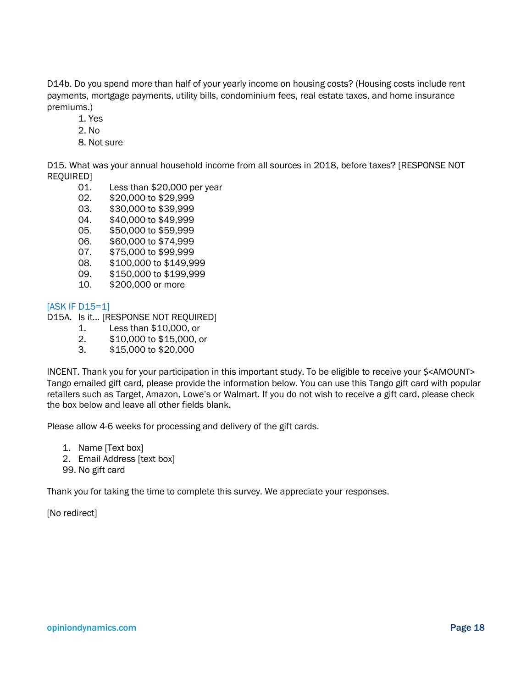D14b. Do you spend more than half of your yearly income on housing costs? (Housing costs include rent payments, mortgage payments, utility bills, condominium fees, real estate taxes, and home insurance premiums.)

- 1. Yes
- 2. No
- 8. Not sure

D15. What was your annual household income from all sources in 2018, before taxes? [RESPONSE NOT REQUIRED]

- 01. Less than \$20,000 per year
- 02. \$20,000 to \$29,999
- 03. \$30,000 to \$39,999
- 04. \$40,000 to \$49,999
- 05. \$50,000 to \$59,999
- 06. \$60,000 to \$74,999
- 07. \$75,000 to \$99,999
- 08. \$100,000 to \$149,999
- 09. \$150,000 to \$199,999
- 10. \$200,000 or more

#### [ASK IF D15=1]

- D15A. Is it… [RESPONSE NOT REQUIRED]
	- 1. Less than \$10,000, or
	- 2. \$10,000 to \$15,000, or
	- 3. \$15,000 to \$20,000

INCENT. Thank you for your participation in this important study. To be eligible to receive your \$<AMOUNT> Tango emailed gift card, please provide the information below. You can use this Tango gift card with popular retailers such as Target, Amazon, Lowe's or Walmart. If you do not wish to receive a gift card, please check the box below and leave all other fields blank.

Please allow 4-6 weeks for processing and delivery of the gift cards.

- 1. Name [Text box]
- 2. Email Address [text box]
- 99. No gift card

Thank you for taking the time to complete this survey. We appreciate your responses.

[No redirect]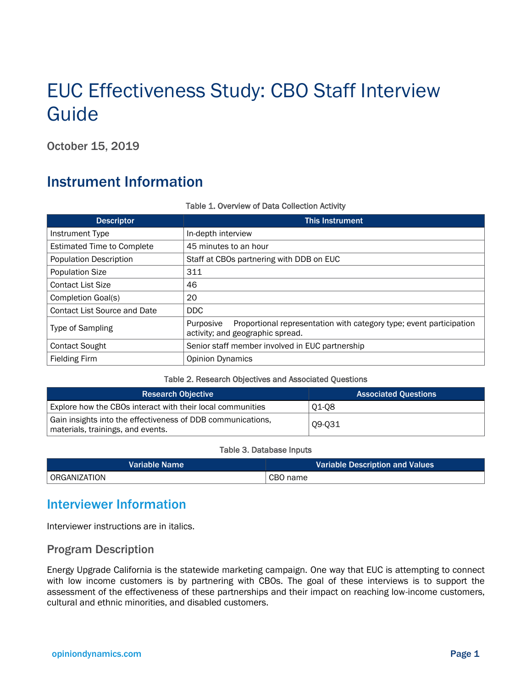# EUC Effectiveness Study: CBO Staff Interview Guide

October 15, 2019

## Instrument Information

| <b>Descriptor</b>                   | <b>This Instrument</b>                                                                                               |
|-------------------------------------|----------------------------------------------------------------------------------------------------------------------|
| Instrument Type                     | In-depth interview                                                                                                   |
| <b>Estimated Time to Complete</b>   | 45 minutes to an hour                                                                                                |
| <b>Population Description</b>       | Staff at CBOs partnering with DDB on EUC                                                                             |
| <b>Population Size</b>              | 311                                                                                                                  |
| <b>Contact List Size</b>            | 46                                                                                                                   |
| Completion Goal(s)                  | 20                                                                                                                   |
| <b>Contact List Source and Date</b> | DDC.                                                                                                                 |
| <b>Type of Sampling</b>             | Purposive<br>Proportional representation with category type; event participation<br>activity; and geographic spread. |
| <b>Contact Sought</b>               | Senior staff member involved in EUC partnership                                                                      |
| <b>Fielding Firm</b>                | <b>Opinion Dynamics</b>                                                                                              |

#### Table 1. Overview of Data Collection Activity

#### Table 2. Research Objectives and Associated Questions

| <b>Research Objective</b>                                                                        | <b>Associated Questions</b> |
|--------------------------------------------------------------------------------------------------|-----------------------------|
| Explore how the CBOs interact with their local communities                                       | 01-08                       |
| Gain insights into the effectiveness of DDB communications,<br>materials, trainings, and events. | Q9-Q31                      |

#### Table 3. Database Inputs

| Variable Name | Variable Description and Values |
|---------------|---------------------------------|
| ORGANIZATION  | CBO name                        |

### Interviewer Information

Interviewer instructions are in italics.

#### Program Description

Energy Upgrade California is the statewide marketing campaign. One way that EUC is attempting to connect with low income customers is by partnering with CBOs. The goal of these interviews is to support the assessment of the effectiveness of these partnerships and their impact on reaching low-income customers, cultural and ethnic minorities, and disabled customers.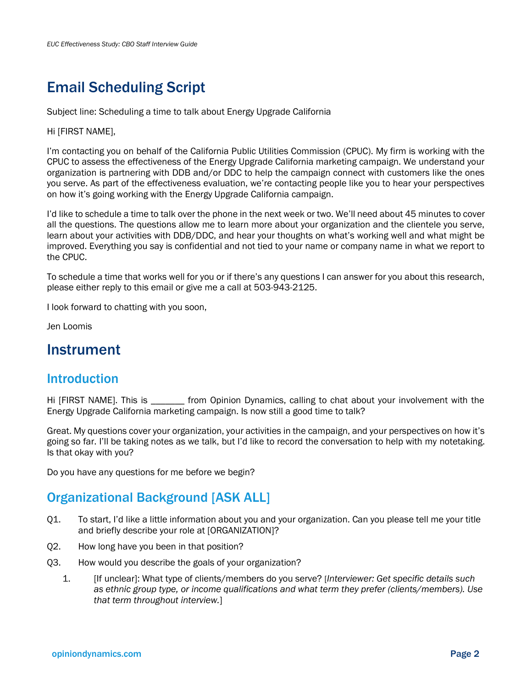## Email Scheduling Script

Subject line: Scheduling a time to talk about Energy Upgrade California

Hi [FIRST NAME],

I'm contacting you on behalf of the California Public Utilities Commission (CPUC). My firm is working with the CPUC to assess the effectiveness of the Energy Upgrade California marketing campaign. We understand your organization is partnering with DDB and/or DDC to help the campaign connect with customers like the ones you serve. As part of the effectiveness evaluation, we're contacting people like you to hear your perspectives on how it's going working with the Energy Upgrade California campaign.

I'd like to schedule a time to talk over the phone in the next week or two. We'll need about 45 minutes to cover all the questions. The questions allow me to learn more about your organization and the clientele you serve, learn about your activities with DDB/DDC, and hear your thoughts on what's working well and what might be improved. Everything you say is confidential and not tied to your name or company name in what we report to the CPUC.

To schedule a time that works well for you or if there's any questions I can answer for you about this research, please either reply to this email or give me a call at 503-943-2125.

I look forward to chatting with you soon,

Jen Loomis

### Instrument

### Introduction

Hi [FIRST NAME]. This is **the interpretatal from Opinion Dynamics**, calling to chat about your involvement with the Energy Upgrade California marketing campaign. Is now still a good time to talk?

Great. My questions cover your organization, your activities in the campaign, and your perspectives on how it's going so far. I'll be taking notes as we talk, but I'd like to record the conversation to help with my notetaking. Is that okay with you?

Do you have any questions for me before we begin?

### Organizational Background [ASK ALL]

- <span id="page-19-0"></span>Q1. To start, I'd like a little information about you and your organization. Can you please tell me your title and briefly describe your role at [ORGANIZATION]?
- Q2. How long have you been in that position?
- Q3. How would you describe the goals of your organization?
	- 1. [If unclear]: What type of clients/members do you serve? [*Interviewer: Get specific details such as ethnic group type, or income qualifications and what term they prefer (clients/members). Use that term throughout interview.*]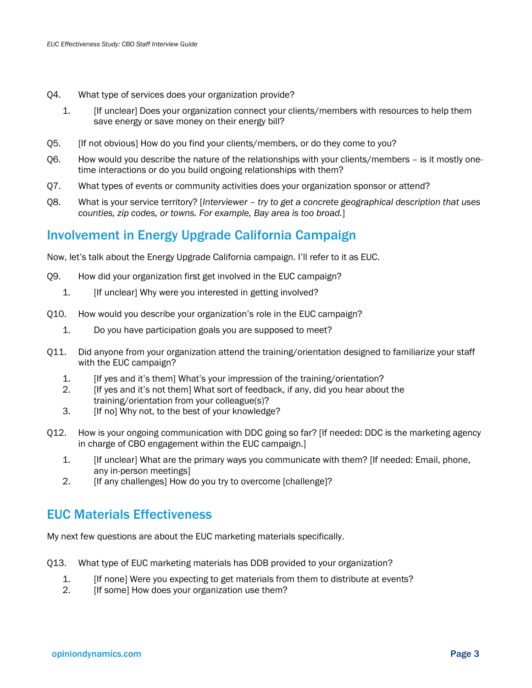- Q4. What type of services does your organization provide?
	- 1. [If unclear] Does your organization connect your clients/members with resources to help them save energy or save money on their energy bill?
- Q5. [If not obvious] How do you find your clients/members, or do they come to you?
- Q6. How would you describe the nature of the relationships with your clients/members is it mostly onetime interactions or do you build ongoing relationships with them?
- Q7. What types of events or community activities does your organization sponsor or attend?
- <span id="page-20-0"></span>Q8. What is your service territory? [*Interviewer – try to get a concrete geographical description that uses counties, zip codes, or towns. For example, Bay area is too broad.*]

### Involvement in Energy Upgrade California Campaign

Now, let's talk about the Energy Upgrade California campaign. I'll refer to it as EUC.

- <span id="page-20-1"></span>Q9. How did your organization first get involved in the EUC campaign?
	- 1. **If unclear** Why were you interested in getting involved?
- Q10. How would you describe your organization's role in the EUC campaign?
	- 1. Do you have participation goals you are supposed to meet?
- Q11. Did anyone from your organization attend the training/orientation designed to familiarize your staff with the EUC campaign?
	- 1. [If yes and it's them] What's your impression of the training/orientation?
	- 2. [If yes and it's not them] What sort of feedback, if any, did you hear about the training/orientation from your colleague(s)?
	- 3. [If no] Why not, to the best of your knowledge?
- Q12. How is your ongoing communication with DDC going so far? [If needed: DDC is the marketing agency in charge of CBO engagement within the EUC campaign.]
	- 1. [If unclear] What are the primary ways you communicate with them? [If needed: Email, phone, any in-person meetings]
	- 2. [If any challenges] How do you try to overcome [challenge]?

### EUC Materials Effectiveness

My next few questions are about the EUC marketing materials specifically.

- Q13. What type of EUC marketing materials has DDB provided to your organization?
	- 1. [If none] Were you expecting to get materials from them to distribute at events?
	- 2. **If some** How does your organization use them?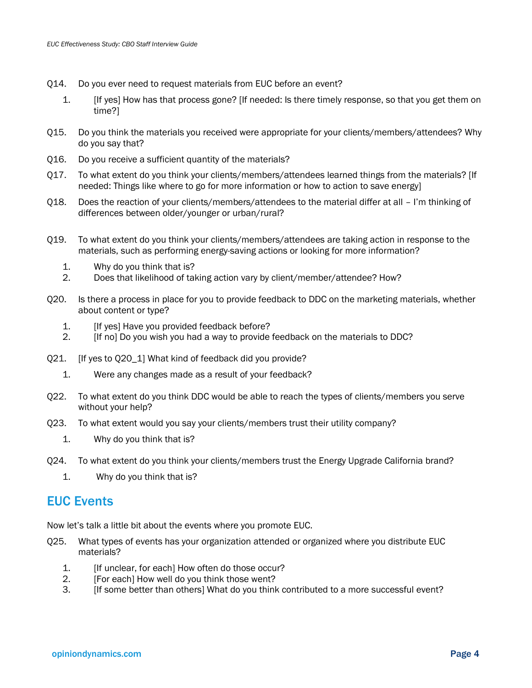- Q14. Do you ever need to request materials from EUC before an event?
	- 1. [If yes] How has that process gone? [If needed: Is there timely response, so that you get them on time?]
- Q15. Do you think the materials you received were appropriate for your clients/members/attendees? Why do you say that?
- Q16. Do you receive a sufficient quantity of the materials?
- Q17. To what extent do you think your clients/members/attendees learned things from the materials? [If needed: Things like where to go for more information or how to action to save energy]
- Q18. Does the reaction of your clients/members/attendees to the material differ at all I'm thinking of differences between older/younger or urban/rural?
- Q19. To what extent do you think your clients/members/attendees are taking action in response to the materials, such as performing energy-saving actions or looking for more information?
	- 1. Why do you think that is?
	- 2. Does that likelihood of taking action vary by client/member/attendee? How?
- <span id="page-21-0"></span>Q20. Is there a process in place for you to provide feedback to DDC on the marketing materials, whether about content or type?
	- 1. **If yes** Have you provided feedback before?
	- 2. [If no] Do you wish you had a way to provide feedback on the materials to DDC?
- Q21. [If yes to [Q20\\_](#page-21-0)1] What kind of feedback did you provide?
	- 1. Were any changes made as a result of your feedback?
- Q22. To what extent do you think DDC would be able to reach the types of clients/members you serve without your help?
- Q23. To what extent would you say your clients/members trust their utility company?
	- 1. Why do you think that is?
- Q24. To what extent do you think your clients/members trust the Energy Upgrade California brand?
	- 1. Why do you think that is?

### EUC Events

Now let's talk a little bit about the events where you promote EUC.

- Q25. What types of events has your organization attended or organized where you distribute EUC materials?
	- 1. **If unclear, for each] How often do those occur?**
	- 2. [For each] How well do you think those went?
	- 3. [If some better than others] What do you think contributed to a more successful event?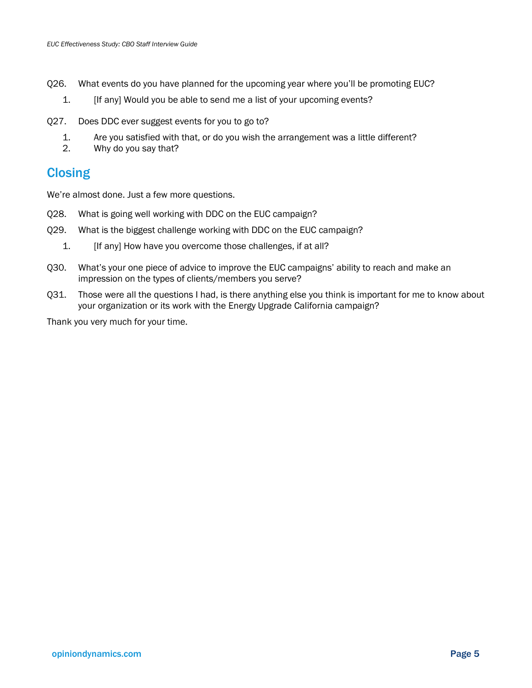- Q26. What events do you have planned for the upcoming year where you'll be promoting EUC?
	- 1. [If any] Would you be able to send me a list of your upcoming events?
- Q27. Does DDC ever suggest events for you to go to?
	- 1. Are you satisfied with that, or do you wish the arrangement was a little different?
	- 2. Why do you say that?

### **Closing**

We're almost done. Just a few more questions.

- Q28. What is going well working with DDC on the EUC campaign?
- Q29. What is the biggest challenge working with DDC on the EUC campaign?
	- 1. [If any] How have you overcome those challenges, if at all?
- Q30. What's your one piece of advice to improve the EUC campaigns' ability to reach and make an impression on the types of clients/members you serve?
- <span id="page-22-0"></span>Q31. Those were all the questions I had, is there anything else you think is important for me to know about your organization or its work with the Energy Upgrade California campaign?

Thank you very much for your time.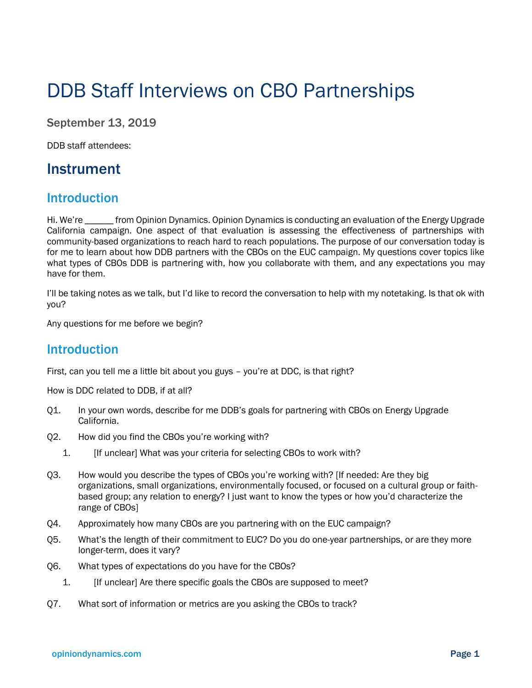# DDB Staff Interviews on CBO Partnerships

September 13, 2019

DDB staff attendees:

### Instrument

### **Introduction**

Hi. We're \_\_\_\_\_\_ from Opinion Dynamics. Opinion Dynamics is conducting an evaluation of the Energy Upgrade California campaign. One aspect of that evaluation is assessing the effectiveness of partnerships with community-based organizations to reach hard to reach populations. The purpose of our conversation today is for me to learn about how DDB partners with the CBOs on the EUC campaign. My questions cover topics like what types of CBOs DDB is partnering with, how you collaborate with them, and any expectations you may have for them.

I'll be taking notes as we talk, but I'd like to record the conversation to help with my notetaking. Is that ok with you?

Any questions for me before we begin?

### Introduction

First, can you tell me a little bit about you guys – you're at DDC, is that right?

How is DDC related to DDB, if at all?

- Q1. In your own words, describe for me DDB's goals for partnering with CBOs on Energy Upgrade California.
- Q2. How did you find the CBOs you're working with?
	- 1. [If unclear] What was your criteria for selecting CBOs to work with?
- Q3. How would you describe the types of CBOs you're working with? [If needed: Are they big organizations, small organizations, environmentally focused, or focused on a cultural group or faithbased group; any relation to energy? I just want to know the types or how you'd characterize the range of CBOs]
- Q4. Approximately how many CBOs are you partnering with on the EUC campaign?
- Q5. What's the length of their commitment to EUC? Do you do one-year partnerships, or are they more longer-term, does it vary?
- Q6. What types of expectations do you have for the CBOs?
	- 1. [If unclear] Are there specific goals the CBOs are supposed to meet?
- Q7. What sort of information or metrics are you asking the CBOs to track?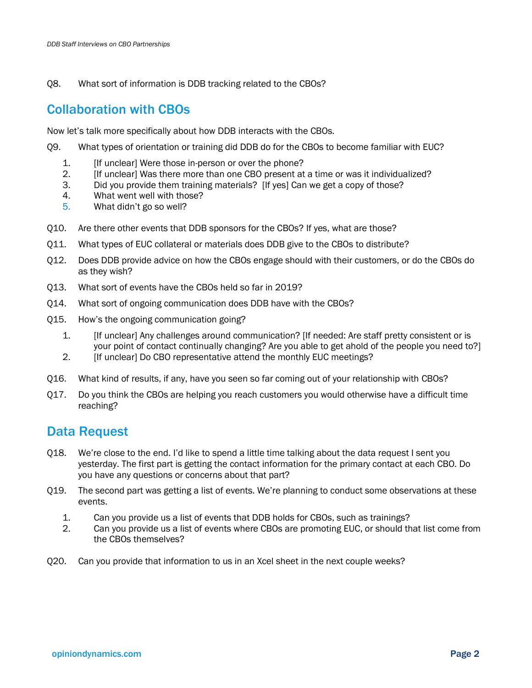Q8. What sort of information is DDB tracking related to the CBOs?

### Collaboration with CBOs

Now let's talk more specifically about how DDB interacts with the CBOs.

- Q9. What types of orientation or training did DDB do for the CBOs to become familiar with EUC?
	- 1. **If unclear** Were those in-person or over the phone?
	- 2. [If unclear] Was there more than one CBO present at a time or was it individualized?
	- 3. Did you provide them training materials? [If yes] Can we get a copy of those?
	- 4. What went well with those?
	- 5. What didn't go so well?
- Q10. Are there other events that DDB sponsors for the CBOs? If yes, what are those?
- Q11. What types of EUC collateral or materials does DDB give to the CBOs to distribute?
- Q12. Does DDB provide advice on how the CBOs engage should with their customers, or do the CBOs do as they wish?
- Q13. What sort of events have the CBOs held so far in 2019?
- Q14. What sort of ongoing communication does DDB have with the CBOs?
- Q15. How's the ongoing communication going?
	- 1. [If unclear] Any challenges around communication? [If needed: Are staff pretty consistent or is your point of contact continually changing? Are you able to get ahold of the people you need to?]
	- 2. **If unclear** Do CBO representative attend the monthly EUC meetings?
- Q16. What kind of results, if any, have you seen so far coming out of your relationship with CBOs?
- Q17. Do you think the CBOs are helping you reach customers you would otherwise have a difficult time reaching?

### Data Request

- Q18. We're close to the end. I'd like to spend a little time talking about the data request I sent you yesterday. The first part is getting the contact information for the primary contact at each CBO. Do you have any questions or concerns about that part?
- Q19. The second part was getting a list of events. We're planning to conduct some observations at these events.
	- 1. Can you provide us a list of events that DDB holds for CBOs, such as trainings?
	- 2. Can you provide us a list of events where CBOs are promoting EUC, or should that list come from the CBOs themselves?
- Q20. Can you provide that information to us in an Xcel sheet in the next couple weeks?